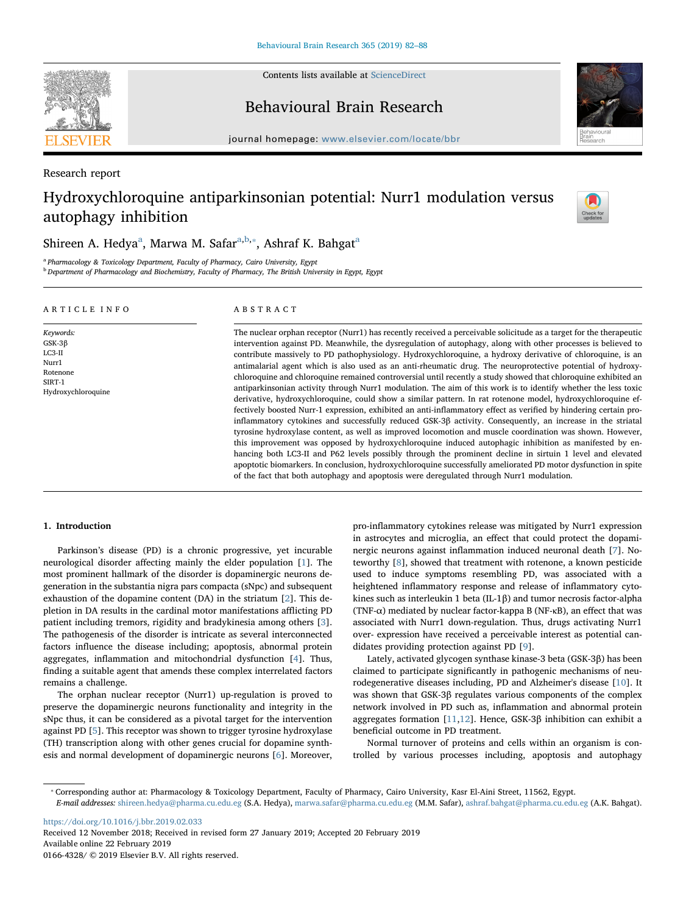Contents lists available at [ScienceDirect](http://www.sciencedirect.com/science/journal/01664328)

Behavioural Brain Research

 $j<sub>i</sub>$ , where  $i<sub>i</sub>$  is equal to the complete  $b<sub>i</sub>$ 

Research report

# Hydroxychloroquine antiparkinsonian potential: Nurr1 modulation versus autophagy inhibition



<span id="page-0-0"></span><sup>a</sup> Pharmacology & Toxicology Department, Faculty of Pharmacy, Cairo University, Egypt

<span id="page-0-1"></span>**b** Department of Pharmacology and Biochemistry, Faculty of Pharmacy, The British University in Egypt, Egypt

# ARTICLE INFO

#### Keywords: GSK-3β LC3-II Nurr1 Rotenone SIRT-1 Hydroxychloroquine

# ABSTRACT

The nuclear orphan receptor (Nurr1) has recently received a perceivable solicitude as a target for the therapeutic intervention against PD. Meanwhile, the dysregulation of autophagy, along with other processes is believed to contribute massively to PD pathophysiology. Hydroxychloroquine, a hydroxy derivative of chloroquine, is an antimalarial agent which is also used as an anti-rheumatic drug. The neuroprotective potential of hydroxychloroquine and chloroquine remained controversial until recently a study showed that chloroquine exhibited an antiparkinsonian activity through Nurr1 modulation. The aim of this work is to identify whether the less toxic derivative, hydroxychloroquine, could show a similar pattern. In rat rotenone model, hydroxychloroquine effectively boosted Nurr-1 expression, exhibited an anti-inflammatory effect as verified by hindering certain proinflammatory cytokines and successfully reduced GSK-3β activity. Consequently, an increase in the striatal tyrosine hydroxylase content, as well as improved locomotion and muscle coordination was shown. However, this improvement was opposed by hydroxychloroquine induced autophagic inhibition as manifested by enhancing both LC3-II and P62 levels possibly through the prominent decline in sirtuin 1 level and elevated apoptotic biomarkers. In conclusion, hydroxychloroquine successfully ameliorated PD motor dysfunction in spite of the fact that both autophagy and apoptosis were deregulated through Nurr1 modulation.

# 1. Introduction

Parkinson's disease (PD) is a chronic progressive, yet incurable neurological disorder affecting mainly the elder population [[1](#page-5-0)]. The most prominent hallmark of the disorder is dopaminergic neurons degeneration in the substantia nigra pars compacta (sNpc) and subsequent exhaustion of the dopamine content (DA) in the striatum [\[2\]](#page-5-1). This depletion in DA results in the cardinal motor manifestations afflicting PD patient including tremors, rigidity and bradykinesia among others [[3](#page-5-2)]. The pathogenesis of the disorder is intricate as several interconnected factors influence the disease including; apoptosis, abnormal protein aggregates, inflammation and mitochondrial dysfunction [[4](#page-5-3)]. Thus, finding a suitable agent that amends these complex interrelated factors remains a challenge.

The orphan nuclear receptor (Nurr1) up-regulation is proved to preserve the dopaminergic neurons functionality and integrity in the sNpc thus, it can be considered as a pivotal target for the intervention against PD [\[5\]](#page-5-4). This receptor was shown to trigger tyrosine hydroxylase (TH) transcription along with other genes crucial for dopamine synthesis and normal development of dopaminergic neurons [[6](#page-5-5)]. Moreover,

pro-inflammatory cytokines release was mitigated by Nurr1 expression in astrocytes and microglia, an effect that could protect the dopaminergic neurons against inflammation induced neuronal death [\[7\]](#page-5-6). Noteworthy [\[8\]](#page-5-7), showed that treatment with rotenone, a known pesticide used to induce symptoms resembling PD, was associated with a heightened inflammatory response and release of inflammatory cytokines such as interleukin 1 beta (IL-1β) and tumor necrosis factor-alpha (TNF-α) mediated by nuclear factor-kappa B (NF-κB), an effect that was associated with Nurr1 down-regulation. Thus, drugs activating Nurr1 over- expression have received a perceivable interest as potential candidates providing protection against PD [\[9\]](#page-5-8).

Lately, activated glycogen synthase kinase-3 beta (GSK-3β) has been claimed to participate significantly in pathogenic mechanisms of neurodegenerative diseases including, PD and Alzheimer's disease [[10\]](#page-5-9). It was shown that GSK-3β regulates various components of the complex network involved in PD such as, inflammation and abnormal protein aggregates formation [\[11](#page-5-10)[,12](#page-5-11)]. Hence, GSK-3β inhibition can exhibit a beneficial outcome in PD treatment.

Normal turnover of proteins and cells within an organism is controlled by various processes including, apoptosis and autophagy

<span id="page-0-2"></span>⁎ Corresponding author at: Pharmacology & Toxicology Department, Faculty of Pharmacy, Cairo University, Kasr El-Aini Street, 11562, Egypt.

E-mail addresses: [shireen.hedya@pharma.cu.edu.eg](mailto:shireen.hedya@pharma.cu.edu.eg) (S.A. Hedya), [marwa.safar@pharma.cu.edu.eg](mailto:marwa.safar@pharma.cu.edu.eg) (M.M. Safar), [ashraf.bahgat@pharma.cu.edu.eg](mailto:ashraf.bahgat@pharma.cu.edu.eg) (A.K. Bahgat).

<https://doi.org/10.1016/j.bbr.2019.02.033> Received 12 November 2018; Received in revised form 27 January 2019; Accepted 20 February 2019 Available online 22 February 2019 0166-4328/ © 2019 Elsevier B.V. All rights reserved.





Check fo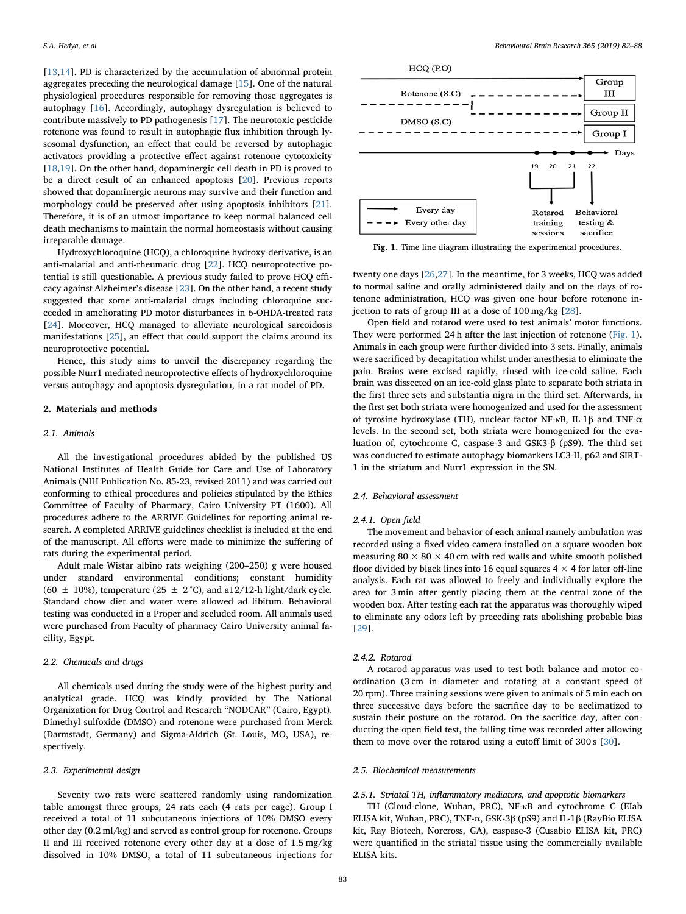[[13](#page-5-12)[,14](#page-5-13)]. PD is characterized by the accumulation of abnormal protein aggregates preceding the neurological damage [\[15](#page-5-14)]. One of the natural physiological procedures responsible for removing those aggregates is autophagy [[16](#page-5-15)]. Accordingly, autophagy dysregulation is believed to contribute massively to PD pathogenesis [\[17](#page-5-16)]. The neurotoxic pesticide rotenone was found to result in autophagic flux inhibition through lysosomal dysfunction, an effect that could be reversed by autophagic activators providing a protective effect against rotenone cytotoxicity [[18](#page-5-17)[,19](#page-5-18)]. On the other hand, dopaminergic cell death in PD is proved to be a direct result of an enhanced apoptosis [\[20](#page-5-19)]. Previous reports showed that dopaminergic neurons may survive and their function and morphology could be preserved after using apoptosis inhibitors [\[21](#page-5-20)]. Therefore, it is of an utmost importance to keep normal balanced cell death mechanisms to maintain the normal homeostasis without causing irreparable damage.

Hydroxychloroquine (HCQ), a chloroquine hydroxy-derivative, is an anti-malarial and anti-rheumatic drug [[22\]](#page-5-21). HCQ neuroprotective potential is still questionable. A previous study failed to prove HCQ efficacy against Alzheimer's disease [[23\]](#page-5-22). On the other hand, a recent study suggested that some anti-malarial drugs including chloroquine succeeded in ameliorating PD motor disturbances in 6-OHDA-treated rats [[24\]](#page-5-23). Moreover, HCQ managed to alleviate neurological sarcoidosis manifestations [[25\]](#page-5-24), an effect that could support the claims around its neuroprotective potential.

Hence, this study aims to unveil the discrepancy regarding the possible Nurr1 mediated neuroprotective effects of hydroxychloroquine versus autophagy and apoptosis dysregulation, in a rat model of PD.

## 2. Materials and methods

### 2.1. Animals

All the investigational procedures abided by the published US National Institutes of Health Guide for Care and Use of Laboratory Animals (NIH Publication No. 85-23, revised 2011) and was carried out conforming to ethical procedures and policies stipulated by the Ethics Committee of Faculty of Pharmacy, Cairo University PT (1600). All procedures adhere to the ARRIVE Guidelines for reporting animal research. A completed ARRIVE guidelines checklist is included at the end of the manuscript. All efforts were made to minimize the suffering of rats during the experimental period.

Adult male Wistar albino rats weighing (200–250) g were housed under standard environmental conditions; constant humidity (60  $\pm$  10%), temperature (25  $\pm$  2 °C), and a12/12-h light/dark cycle. Standard chow diet and water were allowed ad libitum. Behavioral testing was conducted in a Proper and secluded room. All animals used were purchased from Faculty of pharmacy Cairo University animal facility, Egypt.

## 2.2. Chemicals and drugs

All chemicals used during the study were of the highest purity and analytical grade. HCQ was kindly provided by The National Organization for Drug Control and Research "NODCAR" (Cairo, Egypt). Dimethyl sulfoxide (DMSO) and rotenone were purchased from Merck (Darmstadt, Germany) and Sigma-Aldrich (St. Louis, MO, USA), respectively.

## 2.3. Experimental design

Seventy two rats were scattered randomly using randomization table amongst three groups, 24 rats each (4 rats per cage). Group I received a total of 11 subcutaneous injections of 10% DMSO every other day (0.2 ml/kg) and served as control group for rotenone. Groups II and III received rotenone every other day at a dose of 1.5 mg/kg dissolved in 10% DMSO, a total of 11 subcutaneous injections for

<span id="page-1-0"></span>

Fig. 1. Time line diagram illustrating the experimental procedures.

twenty one days [[26,](#page-5-25)[27\]](#page-5-26). In the meantime, for 3 weeks, HCQ was added to normal saline and orally administered daily and on the days of rotenone administration, HCQ was given one hour before rotenone injection to rats of group III at a dose of 100 mg/kg [[28\]](#page-5-27).

Open field and rotarod were used to test animals' motor functions. They were performed 24 h after the last injection of rotenone [\(Fig. 1](#page-1-0)). Animals in each group were further divided into 3 sets. Finally, animals were sacrificed by decapitation whilst under anesthesia to eliminate the pain. Brains were excised rapidly, rinsed with ice-cold saline. Each brain was dissected on an ice-cold glass plate to separate both striata in the first three sets and substantia nigra in the third set. Afterwards, in the first set both striata were homogenized and used for the assessment of tyrosine hydroxylase (TH), nuclear factor NF-κВ, IL-1β and TNF-α levels. In the second set, both striata were homogenized for the evaluation of, cytochrome C, caspase-3 and GSK3-β (pS9). The third set was conducted to estimate autophagy biomarkers LC3-II, p62 and SIRT-1 in the striatum and Nurr1 expression in the SN.

### 2.4. Behavioral assessment

#### 2.4.1. Open field

The movement and behavior of each animal namely ambulation was recorded using a fixed video camera installed on a square wooden box measuring  $80 \times 80 \times 40$  cm with red walls and white smooth polished floor divided by black lines into 16 equal squares 4  $\times$  4 for later off-line analysis. Each rat was allowed to freely and individually explore the area for 3 min after gently placing them at the central zone of the wooden box. After testing each rat the apparatus was thoroughly wiped to eliminate any odors left by preceding rats abolishing probable bias [[29\]](#page-5-28).

#### 2.4.2. Rotarod

A rotarod apparatus was used to test both balance and motor coordination (3 cm in diameter and rotating at a constant speed of 20 rpm). Three training sessions were given to animals of 5 min each on three successive days before the sacrifice day to be acclimatized to sustain their posture on the rotarod. On the sacrifice day, after conducting the open field test, the falling time was recorded after allowing them to move over the rotarod using a cutoff limit of 300 s [\[30](#page-5-29)].

## 2.5. Biochemical measurements

#### 2.5.1. Striatal TH, inflammatory mediators, and apoptotic biomarkers

TH (Cloud-clone, Wuhan, PRC), NF-κВ and cytochrome C (EIab ELISA kit, Wuhan, PRC), TNF-α, GSK-3β (pS9) and IL-1β (RayBio ELISA kit, Ray Biotech, Norcross, GA), caspase-3 (Cusabio ELISA kit, PRC) were quantified in the striatal tissue using the commercially available ELISA kits.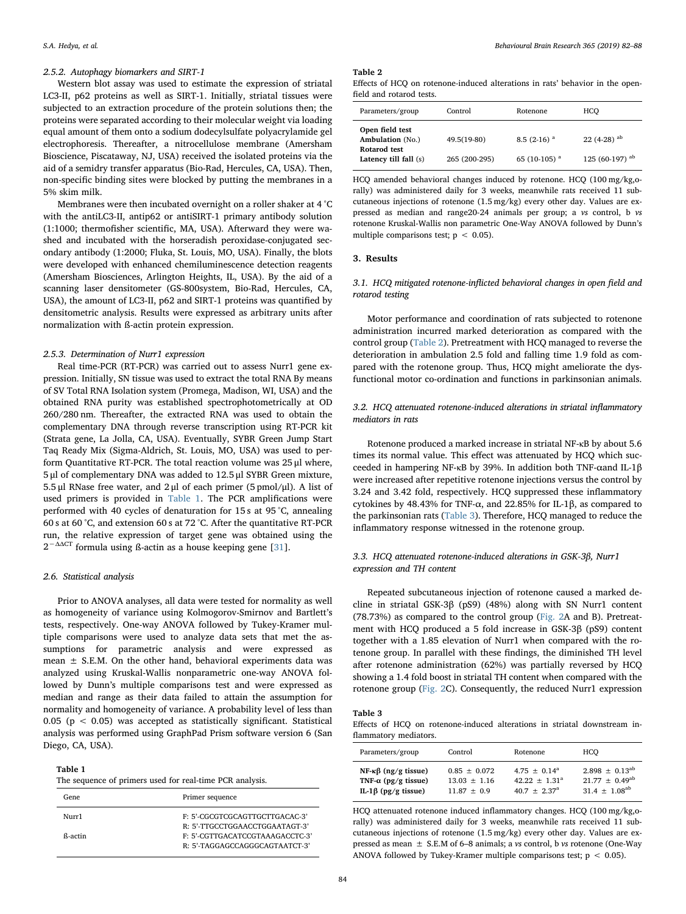#### 2.5.2. Autophagy biomarkers and SIRT-1

Western blot assay was used to estimate the expression of striatal LC3-II, p62 proteins as well as SIRT-1. Initially, striatal tissues were subjected to an extraction procedure of the protein solutions then; the proteins were separated according to their molecular weight via loading equal amount of them onto a sodium dodecylsulfate polyacrylamide gel electrophoresis. Thereafter, a nitrocellulose membrane (Amersham Bioscience, Piscataway, NJ, USA) received the isolated proteins via the aid of a semidry transfer apparatus (Bio-Rad, Hercules, CA, USA). Then, non-specific binding sites were blocked by putting the membranes in a 5% skim milk.

Membranes were then incubated overnight on a roller shaker at 4 °C with the antiLC3-II, antip62 or antiSIRT-1 primary antibody solution (1:1000; thermofisher scientific, MA, USA). Afterward they were washed and incubated with the horseradish peroxidase-conjugated secondary antibody (1:2000; Fluka, St. Louis, MO, USA). Finally, the blots were developed with enhanced chemiluminescence detection reagents (Amersham Biosciences, Arlington Heights, IL, USA). By the aid of a scanning laser densitometer (GS-800system, Bio-Rad, Hercules, CA, USA), the amount of LC3-II, p62 and SIRT-1 proteins was quantified by densitometric analysis. Results were expressed as arbitrary units after normalization with ß-actin protein expression.

## 2.5.3. Determination of Nurr1 expression

Real time-PCR (RT-PCR) was carried out to assess Nurr1 gene expression. Initially, SN tissue was used to extract the total RNA By means of SV Total RNA Isolation system (Promega, Madison, WI, USA) and the obtained RNA purity was established spectrophotometrically at OD 260/280 nm. Thereafter, the extracted RNA was used to obtain the complementary DNA through reverse transcription using RT-PCR kit (Strata gene, La Jolla, CA, USA). Eventually, SYBR Green Jump Start Taq Ready Mix (Sigma-Aldrich, St. Louis, MO, USA) was used to perform Quantitative RT-PCR. The total reaction volume was 25 μl where, 5 μl of complementary DNA was added to 12.5 μl SYBR Green mixture, 5.5 μl RNase free water, and 2 μl of each primer (5 pmol/μl). A list of used primers is provided in [Table 1](#page-2-0). The PCR amplifications were performed with 40 cycles of denaturation for 15 s at 95 °C, annealing 60 s at 60 °C, and extension 60 s at 72 °C. After the quantitative RT-PCR run, the relative expression of target gene was obtained using the  $2^{-\Delta\Delta CT}$  formula using ß-actin as a house keeping gene [[31\]](#page-5-30).

## 2.6. Statistical analysis

Prior to ANOVA analyses, all data were tested for normality as well as homogeneity of variance using Kolmogorov-Smirnov and Bartlett's tests, respectively. One-way ANOVA followed by Tukey-Kramer multiple comparisons were used to analyze data sets that met the assumptions for parametric analysis and were expressed as mean  $\pm$  S.E.M. On the other hand, behavioral experiments data was analyzed using Kruskal-Wallis nonparametric one-way ANOVA followed by Dunn's multiple comparisons test and were expressed as median and range as their data failed to attain the assumption for normality and homogeneity of variance. A probability level of less than 0.05 ( $p < 0.05$ ) was accepted as statistically significant. Statistical analysis was performed using GraphPad Prism software version 6 (San Diego, CA, USA).

#### <span id="page-2-0"></span>Table 1

| The sequence of primers used for real-time PCR analysis. |  |  |
|----------------------------------------------------------|--|--|
|----------------------------------------------------------|--|--|

| Gene    | Primer sequence                 |
|---------|---------------------------------|
| Nurr1   | F: 5'-CGCGTCGCAGTTGCTTGACAC-3'  |
|         | R: 5'-TTGCCTGGAACCTGGAATAGT-3'  |
| ß-actin | F: 5'-CGTTGACATCCGTAAAGACCTC-3' |
|         | R: 5'-TAGGAGCCAGGGCAGTAATCT-3'  |

#### <span id="page-2-1"></span>Table 2

Effects of HCQ on rotenone-induced alterations in rats' behavior in the openfield and rotarod tests.

| Parameters/group                                                             | Control                      | Rotenone                                    | HCO                                         |
|------------------------------------------------------------------------------|------------------------------|---------------------------------------------|---------------------------------------------|
| Open field test<br>Ambulation (No.)<br>Rotarod test<br>Latency till fall (s) | 49.5(19-80)<br>265 (200-295) | $8.5(2-16)^{a}$<br>65 (10-105) <sup>a</sup> | $22(4-28)$ <sup>ab</sup><br>125 (60-197) ab |

HCQ amended behavioral changes induced by rotenone. HCQ (100 mg/kg,orally) was administered daily for 3 weeks, meanwhile rats received 11 subcutaneous injections of rotenone (1.5 mg/kg) every other day. Values are expressed as median and range20-24 animals per group; a vs control, b vs rotenone Kruskal-Wallis non parametric One-Way ANOVA followed by Dunn's multiple comparisons test;  $p < 0.05$ ).

# 3. Results

# 3.1. HCQ mitigated rotenone-inflicted behavioral changes in open field and rotarod testing

Motor performance and coordination of rats subjected to rotenone administration incurred marked deterioration as compared with the control group [\(Table 2\)](#page-2-1). Pretreatment with HCQ managed to reverse the deterioration in ambulation 2.5 fold and falling time 1.9 fold as compared with the rotenone group. Thus, HCQ might ameliorate the dysfunctional motor co-ordination and functions in parkinsonian animals.

# 3.2. HCQ attenuated rotenone-induced alterations in striatal inflammatory mediators in rats

Rotenone produced a marked increase in striatal NF-κB by about 5.6 times its normal value. This effect was attenuated by HCQ which succeeded in hampering NF-κB by 39%. In addition both TNF-αand IL-1β were increased after repetitive rotenone injections versus the control by 3.24 and 3.42 fold, respectively. HCQ suppressed these inflammatory cytokines by 48.43% for TNF-α, and 22.85% for IL-1β, as compared to the parkinsonian rats [\(Table 3](#page-2-2)). Therefore, HCQ managed to reduce the inflammatory response witnessed in the rotenone group.

# 3.3. HCQ attenuated rotenone-induced alterations in GSK-3β, Nurr1 expression and TH content

Repeated subcutaneous injection of rotenone caused a marked decline in striatal GSK-3β (pS9) (48%) along with SN Nurr1 content (78.73%) as compared to the control group [\(Fig. 2A](#page-3-0) and B). Pretreatment with HCQ produced a 5 fold increase in GSK-3β (pS9) content together with a 1.85 elevation of Nurr1 when compared with the rotenone group. In parallel with these findings, the diminished TH level after rotenone administration (62%) was partially reversed by HCQ showing a 1.4 fold boost in striatal TH content when compared with the rotenone group ([Fig. 2](#page-3-0)C). Consequently, the reduced Nurr1 expression

# <span id="page-2-2"></span>Table 3

Effects of HCQ on rotenone-induced alterations in striatal downstream inflammatory mediators.

| Parameters/group            | Control        | Rotenone              | HCO                 |
|-----------------------------|----------------|-----------------------|---------------------|
| NF-κ $β$ (ng/g tissue)      | $0.85 + 0.072$ | $4.75 + 0.14^a$       | $2.898 + 0.13^{ab}$ |
| TNF- $\alpha$ (pg/g tissue) | $13.03 + 1.16$ | $42.22 + 1.31^a$      | $21.77 + 0.49^{ab}$ |
| IL-1β (pg/g tissue)         | $11.87 + 0.9$  | $40.7 + 2.37^{\circ}$ | $31.4 + 1.08^{ab}$  |

HCQ attenuated rotenone induced inflammatory changes. HCQ (100 mg/kg,orally) was administered daily for 3 weeks, meanwhile rats received 11 subcutaneous injections of rotenone (1.5 mg/kg) every other day. Values are expressed as mean  $\pm$  S.E.M of 6–8 animals; a *vs* control, b *vs* rotenone (One-Way ANOVA followed by Tukey-Kramer multiple comparisons test;  $p < 0.05$ ).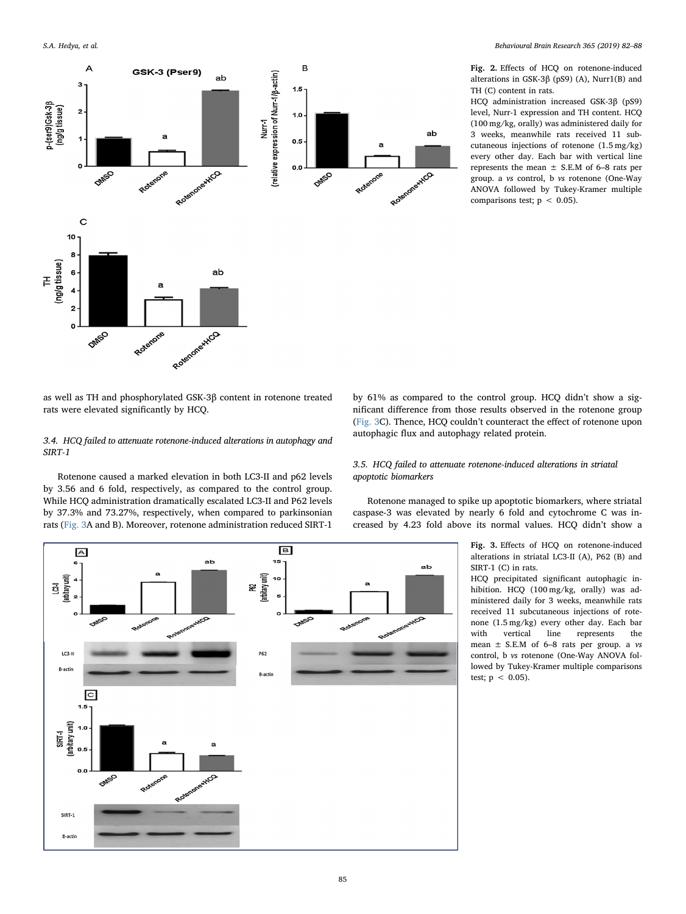<span id="page-3-0"></span>

Fig. 2. Effects of HCQ on rotenone-induced alterations in GSK-3β (pS9) (A), Nurr1(B) and TH (C) content in rats.

HCQ administration increased GSK-3β (pS9) level, Nurr-1 expression and TH content. HCQ (100 mg/kg, orally) was administered daily for 3 weeks, meanwhile rats received 11 subcutaneous injections of rotenone (1.5 mg/kg) every other day. Each bar with vertical line represents the mean  $\pm$  S.E.M of 6–8 rats per group. a vs control, b vs rotenone (One-Way ANOVA followed by Tukey-Kramer multiple comparisons test;  $p < 0.05$ ).

as well as TH and phosphorylated GSK-3β content in rotenone treated rats were elevated significantly by HCQ.

# 3.4. HCQ failed to attenuate rotenone-induced alterations in autophagy and SIRT-1

Rotenone caused a marked elevation in both LC3-II and p62 levels by 3.56 and 6 fold, respectively, as compared to the control group. While HCQ administration dramatically escalated LC3-II and P62 levels by 37.3% and 73.27%, respectively, when compared to parkinsonian rats ([Fig. 3](#page-3-1)A and B). Moreover, rotenone administration reduced SIRT-1

by 61% as compared to the control group. HCQ didn't show a significant difference from those results observed in the rotenone group ([Fig. 3C](#page-3-1)). Thence, HCQ couldn't counteract the effect of rotenone upon autophagic flux and autophagy related protein.

# 3.5. HCQ failed to attenuate rotenone-induced alterations in striatal apoptotic biomarkers

Rotenone managed to spike up apoptotic biomarkers, where striatal caspase-3 was elevated by nearly 6 fold and cytochrome C was increased by 4.23 fold above its normal values. HCQ didn't show a

> Fig. 3. Effects of HCQ on rotenone-induced alterations in striatal LC3-II (A), P62 (B) and SIRT-1 (C) in rats.

> HCQ precipitated significant autophagic inhibition. HCQ (100 mg/kg, orally) was administered daily for 3 weeks, meanwhile rats received 11 subcutaneous injections of rotenone (1.5 mg/kg) every other day. Each bar<br>with vertical line represents the with vertical line represents the mean  $\pm$  S.E.M of 6–8 rats per group. a vs control, b vs rotenone (One-Way ANOVA followed by Tukey-Kramer multiple comparisons test;  $p < 0.05$ ).

<span id="page-3-1"></span>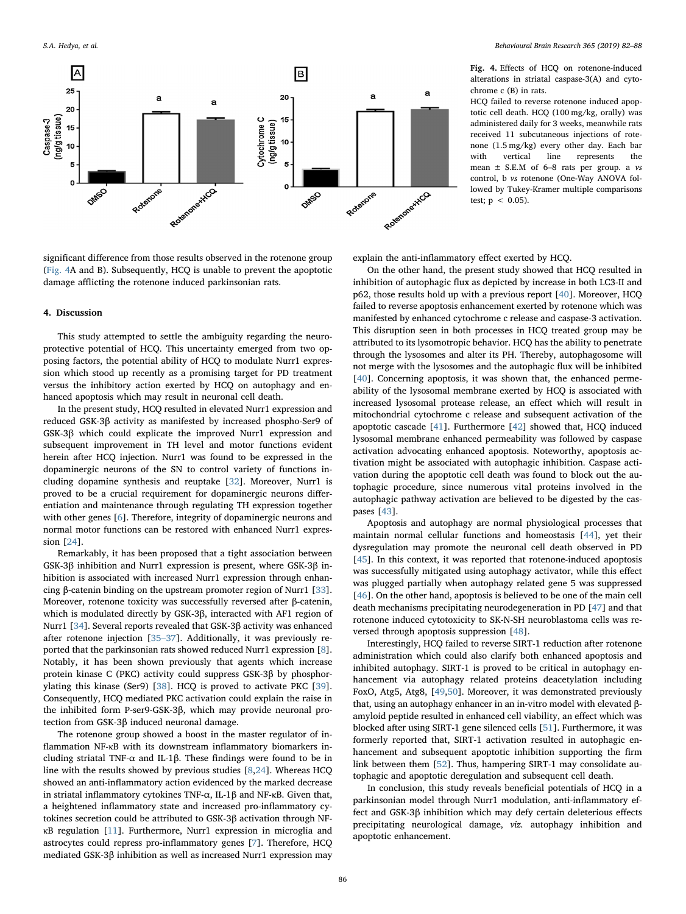<span id="page-4-0"></span>

significant difference from those results observed in the rotenone group ([Fig. 4A](#page-4-0) and B). Subsequently, HCQ is unable to prevent the apoptotic damage afflicting the rotenone induced parkinsonian rats.

#### 4. Discussion

This study attempted to settle the ambiguity regarding the neuroprotective potential of HCQ. This uncertainty emerged from two opposing factors, the potential ability of HCQ to modulate Nurr1 expression which stood up recently as a promising target for PD treatment versus the inhibitory action exerted by HCQ on autophagy and enhanced apoptosis which may result in neuronal cell death.

In the present study, HCQ resulted in elevated Nurr1 expression and reduced GSK-3β activity as manifested by increased phospho-Ser9 of GSK-3β which could explicate the improved Nurr1 expression and subsequent improvement in TH level and motor functions evident herein after HCQ injection. Nurr1 was found to be expressed in the dopaminergic neurons of the SN to control variety of functions including dopamine synthesis and reuptake [[32\]](#page-5-31). Moreover, Nurr1 is proved to be a crucial requirement for dopaminergic neurons differentiation and maintenance through regulating TH expression together with other genes [[6](#page-5-5)]. Therefore, integrity of dopaminergic neurons and normal motor functions can be restored with enhanced Nurr1 expression [\[24](#page-5-23)].

Remarkably, it has been proposed that a tight association between GSK-3β inhibition and Nurr1 expression is present, where GSK-3β inhibition is associated with increased Nurr1 expression through enhancing β-catenin binding on the upstream promoter region of Nurr1 [\[33](#page-5-32)]. Moreover, rotenone toxicity was successfully reversed after β-catenin, which is modulated directly by GSK-3β, interacted with AF1 region of Nurr1 [[34\]](#page-5-33). Several reports revealed that GSK-3β activity was enhanced after rotenone injection [\[35](#page-5-34)–37]. Additionally, it was previously reported that the parkinsonian rats showed reduced Nurr1 expression [[8](#page-5-7)]. Notably, it has been shown previously that agents which increase protein kinase C (PKC) activity could suppress GSK-3β by phosphorylating this kinase (Ser9) [[38\]](#page-5-35). HCQ is proved to activate PKC [\[39](#page-5-36)]. Consequently, HCQ mediated PKC activation could explain the raise in the inhibited form P-ser9-GSK-3β, which may provide neuronal protection from GSK-3β induced neuronal damage.

The rotenone group showed a boost in the master regulator of inflammation NF-κB with its downstream inflammatory biomarkers including striatal TNF- $\alpha$  and IL-1β. These findings were found to be in line with the results showed by previous studies [\[8,](#page-5-7)[24\]](#page-5-23). Whereas HCQ showed an anti-inflammatory action evidenced by the marked decrease in striatal inflammatory cytokines TNF-α, IL-1β and NF-κB. Given that, a heightened inflammatory state and increased pro-inflammatory cytokines secretion could be attributed to GSK-3β activation through NFκB regulation [\[11](#page-5-10)]. Furthermore, Nurr1 expression in microglia and astrocytes could repress pro-inflammatory genes [[7](#page-5-6)]. Therefore, HCQ mediated GSK-3β inhibition as well as increased Nurr1 expression may

Fig. 4. Effects of HCQ on rotenone-induced alterations in striatal caspase-3(A) and cytochrome c (B) in rats.

HCQ failed to reverse rotenone induced apoptotic cell death. HCQ (100 mg/kg, orally) was administered daily for 3 weeks, meanwhile rats received 11 subcutaneous injections of rotenone (1.5 mg/kg) every other day. Each bar with vertical line represents the mean  $\pm$  S.E.M of 6–8 rats per group. a vs control, b vs rotenone (One-Way ANOVA followed by Tukey-Kramer multiple comparisons test;  $p < 0.05$ ).

explain the anti-inflammatory effect exerted by HCQ.

On the other hand, the present study showed that HCQ resulted in inhibition of autophagic flux as depicted by increase in both LC3-II and p62, those results hold up with a previous report [\[40](#page-5-37)]. Moreover, HCQ failed to reverse apoptosis enhancement exerted by rotenone which was manifested by enhanced cytochrome c release and caspase-3 activation. This disruption seen in both processes in HCQ treated group may be attributed to its lysomotropic behavior. HCQ has the ability to penetrate through the lysosomes and alter its PH. Thereby, autophagosome will not merge with the lysosomes and the autophagic flux will be inhibited [[40\]](#page-5-37). Concerning apoptosis, it was shown that, the enhanced permeability of the lysosomal membrane exerted by HCQ is associated with increased lysosomal protease release, an effect which will result in mitochondrial cytochrome c release and subsequent activation of the apoptotic cascade [\[41](#page-5-38)]. Furthermore [[42\]](#page-5-39) showed that, HCQ induced lysosomal membrane enhanced permeability was followed by caspase activation advocating enhanced apoptosis. Noteworthy, apoptosis activation might be associated with autophagic inhibition. Caspase activation during the apoptotic cell death was found to block out the autophagic procedure, since numerous vital proteins involved in the autophagic pathway activation are believed to be digested by the caspases [\[43](#page-5-40)].

Apoptosis and autophagy are normal physiological processes that maintain normal cellular functions and homeostasis [[44\]](#page-5-41), yet their dysregulation may promote the neuronal cell death observed in PD [[45\]](#page-5-42). In this context, it was reported that rotenone-induced apoptosis was successfully mitigated using autophagy activator, while this effect was plugged partially when autophagy related gene 5 was suppressed [[46\]](#page-5-43). On the other hand, apoptosis is believed to be one of the main cell death mechanisms precipitating neurodegeneration in PD [[47\]](#page-5-44) and that rotenone induced cytotoxicity to SK-N-SH neuroblastoma cells was reversed through apoptosis suppression [[48\]](#page-5-45).

Interestingly, HCQ failed to reverse SIRT-1 reduction after rotenone administration which could also clarify both enhanced apoptosis and inhibited autophagy. SIRT-1 is proved to be critical in autophagy enhancement via autophagy related proteins deacetylation including FoxO, Atg5, Atg8, [[49](#page-5-46),[50\]](#page-5-47). Moreover, it was demonstrated previously that, using an autophagy enhancer in an in-vitro model with elevated βamyloid peptide resulted in enhanced cell viability, an effect which was blocked after using SIRT-1 gene silenced cells [[51\]](#page-6-0). Furthermore, it was formerly reported that, SIRT-1 activation resulted in autophagic enhancement and subsequent apoptotic inhibition supporting the firm link between them [\[52](#page-6-1)]. Thus, hampering SIRT-1 may consolidate autophagic and apoptotic deregulation and subsequent cell death.

In conclusion, this study reveals beneficial potentials of HCQ in a parkinsonian model through Nurr1 modulation, anti-inflammatory effect and GSK-3β inhibition which may defy certain deleterious effects precipitating neurological damage, viz. autophagy inhibition and apoptotic enhancement.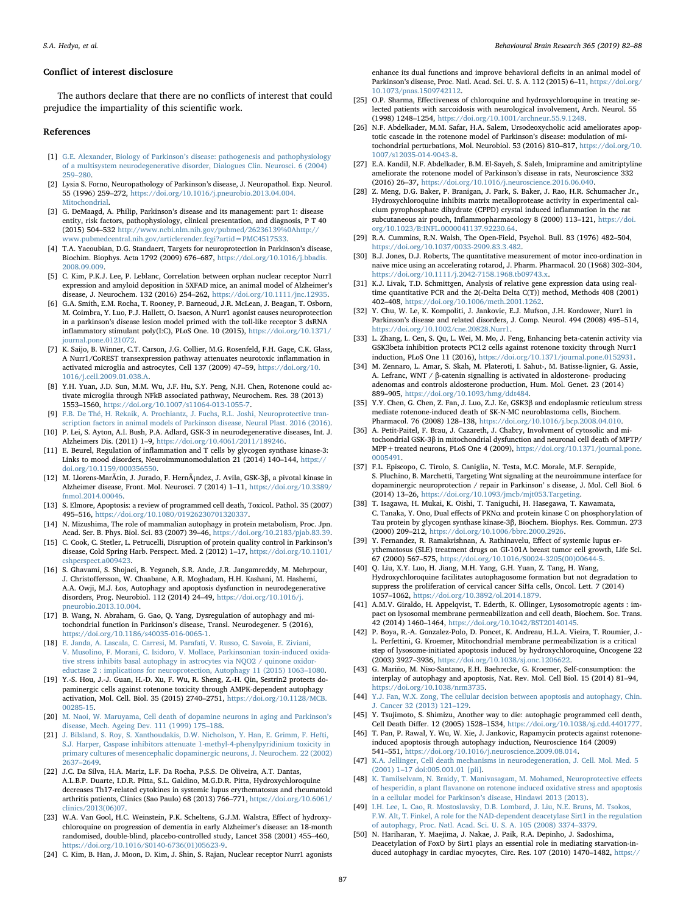#### Conflict of interest disclosure

The authors declare that there are no conflicts of interest that could prejudice the impartiality of this scientific work.

#### References

- <span id="page-5-0"></span>[1] G.E. Alexander, Biology of Parkinson'[s disease: pathogenesis and pathophysiology](http://refhub.elsevier.com/S0166-4328(18)31592-4/sbref0005) [of a multisystem neurodegenerative disorder, Dialogues Clin. Neurosci. 6 \(2004\)](http://refhub.elsevier.com/S0166-4328(18)31592-4/sbref0005) 259–[280.](http://refhub.elsevier.com/S0166-4328(18)31592-4/sbref0005)
- <span id="page-5-1"></span>[2] Lysia S. Forno, Neuropathology of Parkinson's disease, J. Neuropathol. Exp. Neurol. 55 (1996) 259–272, [https://doi.org/10.1016/j.pneurobio.2013.04.004.](https://doi.org/10.1016/j.pneurobio.2013.04.004.Mitochondrial) [Mitochondrial.](https://doi.org/10.1016/j.pneurobio.2013.04.004.Mitochondrial)
- <span id="page-5-2"></span>[3] G. DeMaagd, A. Philip, Parkinson's disease and its management: part 1: disease entity, risk factors, pathophysiology, clinical presentation, and diagnosis, P T 40 (2015) 504–532 [http://www.ncbi.nlm.nih.gov/pubmed/26236139%0Ahttp://](http://www.ncbi.nlm.nih.gov/pubmed/26236139%0Ahttp://www.pubmedcentral.nih.gov/articlerender.fcgi?artid=PMC4517533) [www.pubmedcentral.nih.gov/articlerender.fcgi?artid=PMC4517533](http://www.ncbi.nlm.nih.gov/pubmed/26236139%0Ahttp://www.pubmedcentral.nih.gov/articlerender.fcgi?artid=PMC4517533).
- <span id="page-5-3"></span>[4] T.A. Yacoubian, D.G. Standaert, Targets for neuroprotection in Parkinson's disease, Biochim. Biophys. Acta 1792 (2009) 676–687, [https://doi.org/10.1016/j.bbadis.](https://doi.org/10.1016/j.bbadis.2008.09.009) [2008.09.009.](https://doi.org/10.1016/j.bbadis.2008.09.009)
- <span id="page-5-4"></span>[5] C. Kim, P.K.J. Lee, P. Leblanc, Correlation between orphan nuclear receptor Nurr1 expression and amyloid deposition in 5XFAD mice, an animal model of Alzheimer's disease, J. Neurochem. 132 (2016) 254–262, [https://doi.org/10.1111/jnc.12935.](https://doi.org/10.1111/jnc.12935)
- <span id="page-5-5"></span>[6] G.A. Smith, E.M. Rocha, T. Rooney, P. Barneoud, J.R. McLean, J. Beagan, T. Osborn, M. Coimbra, Y. Luo, P.J. Hallett, O. Isacson, A Nurr1 agonist causes neuroprotection in a parkinson's disease lesion model primed with the toll-like receptor 3 dsRNA inflammatory stimulant poly(I:C), PLoS One. 10 (2015), [https://doi.org/10.1371/](https://doi.org/10.1371/journal.pone.0121072) purnal.pone.0121072.
- <span id="page-5-6"></span>[7] K. Saijo, B. Winner, C.T. Carson, J.G. Collier, M.G. Rosenfeld, F.H. Gage, C.K. Glass, A Nurr1/CoREST transexpression pathway attenuates neurotoxic inflammation in activated microglia and astrocytes, Cell 137 (2009) 47–59, [https://doi.org/10.](https://doi.org/10.1016/j.cell.2009.01.038.A) [1016/j.cell.2009.01.038.A.](https://doi.org/10.1016/j.cell.2009.01.038.A)
- <span id="page-5-7"></span>[8] Y.H. Yuan, J.D. Sun, M.M. Wu, J.F. Hu, S.Y. Peng, N.H. Chen, Rotenone could activate microglia through NFkB associated pathway, Neurochem. Res. 38 (2013) 1553–1560, [https://doi.org/10.1007/s11064-013-1055-7.](https://doi.org/10.1007/s11064-013-1055-7)
- <span id="page-5-8"></span>[9] [F.B. De Thé, H. Rekaik, A. Prochiantz, J. Fuchs, R.L. Joshi, Neuroprotective tran](http://refhub.elsevier.com/S0166-4328(18)31592-4/sbref0045)[scription factors in animal models of Parkinson disease, Neural Plast. 2016 \(2016\).](http://refhub.elsevier.com/S0166-4328(18)31592-4/sbref0045)
- <span id="page-5-9"></span>[10] P. Lei, S. Ayton, A.I. Bush, P.A. Adlard, GSK-3 in neurodegenerative diseases, Int. J. Alzheimers Dis. (2011) 1–9, [https://doi.org/10.4061/2011/189246.](https://doi.org/10.4061/2011/189246)
- <span id="page-5-10"></span>[11] E. Beurel, Regulation of inflammation and T cells by glycogen synthase kinase-3: Links to mood disorders, Neuroimmunomodulation 21 (2014) 140–144, [https://](https://doi.org/10.1159/000356550) [doi.org/10.1159/000356550.](https://doi.org/10.1159/000356550)
- <span id="page-5-11"></span>[12] M. Llorens-MarÃtin, J. Jurado, F. Hernández, J. Avila, GSK-3β, a pivotal kinase in Alzheimer disease, Front. Mol. Neurosci. 7 (2014) 1–11, [https://doi.org/10.3389/](https://doi.org/10.3389/fnmol.2014.00046) [fnmol.2014.00046.](https://doi.org/10.3389/fnmol.2014.00046)
- <span id="page-5-12"></span>[13] S. Elmore, Apoptosis: a review of programmed cell death, Toxicol. Pathol. 35 (2007) 495–516, [https://doi.org/10.1080/01926230701320337.](https://doi.org/10.1080/01926230701320337)
- <span id="page-5-13"></span>[14] N. Mizushima, The role of mammalian autophagy in protein metabolism, Proc. Jpn. Acad. Ser. B. Phys. Biol. Sci. 83 (2007) 39–46, [https://doi.org/10.2183/pjab.83.39.](https://doi.org/10.2183/pjab.83.39)
- <span id="page-5-14"></span>[15] C. Cook, C. Stetler, L. Petrucelli, Disruption of protein quality control in Parkinson's disease, Cold Spring Harb. Perspect. Med. 2 (2012) 1–17, [https://doi.org/10.1101/](https://doi.org/10.1101/cshperspect.a009423) cshperspect.a009423
- <span id="page-5-15"></span>[16] S. Ghavami, S. Shojaei, B. Yeganeh, S.R. Ande, J.R. Jangamreddy, M. Mehrpour, J. Christoffersson, W. Chaabane, A.R. Moghadam, H.H. Kashani, M. Hashemi, A.A. Owji, M.J. Łos, Autophagy and apoptosis dysfunction in neurodegenerative disorders, Prog. Neurobiol. 112 (2014) 24–49, [https://doi.org/10.1016/j.](https://doi.org/10.1016/j.pneurobio.2013.10.004) [pneurobio.2013.10.004.](https://doi.org/10.1016/j.pneurobio.2013.10.004)
- <span id="page-5-16"></span>[17] B. Wang, N. Abraham, G. Gao, Q. Yang, Dysregulation of autophagy and mitochondrial function in Parkinson's disease, Transl. Neurodegener. 5 (2016), [https://doi.org/10.1186/s40035-016-0065-1.](https://doi.org/10.1186/s40035-016-0065-1)
- <span id="page-5-17"></span>[18] [E. Janda, A. Lascala, C. Carresi, M. Parafati, V. Russo, C. Savoia, E. Ziviani,](http://refhub.elsevier.com/S0166-4328(18)31592-4/sbref0090) [V. Musolino, F. Morani, C. Isidoro, V. Mollace, Parkinsonian toxin-induced oxida](http://refhub.elsevier.com/S0166-4328(18)31592-4/sbref0090)[tive stress inhibits basal autophagy in astrocytes via NQO2 / quinone oxidor](http://refhub.elsevier.com/S0166-4328(18)31592-4/sbref0090)[eductase 2 : implications for neuroprotection, Autophagy 11 \(2015\) 1063](http://refhub.elsevier.com/S0166-4328(18)31592-4/sbref0090)–1080.
- <span id="page-5-18"></span>[19] Y.-S. Hou, J.-J. Guan, H.-D. Xu, F. Wu, R. Sheng, Z.-H. Qin, Sestrin2 protects dopaminergic cells against rotenone toxicity through AMPK-dependent autophagy activation, Mol. Cell. Biol. 35 (2015) 2740–2751, [https://doi.org/10.1128/MCB.](https://doi.org/10.1128/MCB.00285-15) [00285-15.](https://doi.org/10.1128/MCB.00285-15)
- <span id="page-5-19"></span>[20] [M. Naoi, W. Maruyama, Cell death of dopamine neurons in aging and Parkinson](http://refhub.elsevier.com/S0166-4328(18)31592-4/sbref0100)'s [disease, Mech. Ageing Dev. 111 \(1999\) 175](http://refhub.elsevier.com/S0166-4328(18)31592-4/sbref0100)–188.
- <span id="page-5-20"></span>[21] [J. Bilsland, S. Roy, S. Xanthoudakis, D.W. Nicholson, Y. Han, E. Grimm, F. Hefti,](http://refhub.elsevier.com/S0166-4328(18)31592-4/sbref0105) [S.J. Harper, Caspase inhibitors attenuate 1-methyl-4-phenylpyridinium toxicity in](http://refhub.elsevier.com/S0166-4328(18)31592-4/sbref0105) [primary cultures of mesencephalic dopaminergic neurons, J. Neurochem. 22 \(2002\)](http://refhub.elsevier.com/S0166-4328(18)31592-4/sbref0105) 2637–[2649.](http://refhub.elsevier.com/S0166-4328(18)31592-4/sbref0105)
- <span id="page-5-21"></span>[22] J.C. Da Silva, H.A. Mariz, L.F. Da Rocha, P.S.S. De Oliveira, A.T. Dantas, A.L.B.P. Duarte, I.D.R. Pitta, S.L. Galdino, M.G.D.R. Pitta, Hydroxychloroquine decreases Th17-related cytokines in systemic lupus erythematosus and rheumatoid arthritis patients, Clinics (Sao Paulo) 68 (2013) 766–771, [https://doi.org/10.6061/](https://doi.org/10.6061/clinics/2013(06)07) [clinics/2013\(06\)07.](https://doi.org/10.6061/clinics/2013(06)07)
- <span id="page-5-22"></span>[23] W.A. Van Gool, H.C. Weinstein, P.K. Scheltens, G.J.M. Walstra, Effect of hydroxychloroquine on progression of dementia in early Alzheimer's disease: an 18-month randomised, double-blind, placebo-controlled study, Lancet 358 (2001) 455–460, [https://doi.org/10.1016/S0140-6736\(01\)05623-9.](https://doi.org/10.1016/S0140-6736(01)05623-9)
- <span id="page-5-23"></span>[24] C. Kim, B. Han, J. Moon, D. Kim, J. Shin, S. Rajan, Nuclear receptor Nurr1 agonists

enhance its dual functions and improve behavioral deficits in an animal model of Parkinson's disease, Proc. Natl. Acad. Sci. U. S. A. 112 (2015) 6–11, [https://doi.org/](https://doi.org/10.1073/pnas.1509742112) [10.1073/pnas.1509742112.](https://doi.org/10.1073/pnas.1509742112)

- <span id="page-5-24"></span>[25] O.P. Sharma, Effectiveness of chloroquine and hydroxychloroquine in treating selected patients with sarcoidosis with neurological involvement, Arch. Neurol. 55 (1998) 1248–1254, [https://doi.org/10.1001/archneur.55.9.1248.](https://doi.org/10.1001/archneur.55.9.1248)
- <span id="page-5-25"></span>[26] N.F. Abdelkader, M.M. Safar, H.A. Salem, Ursodeoxycholic acid ameliorates apoptotic cascade in the rotenone model of Parkinson's disease: modulation of mitochondrial perturbations, Mol. Neurobiol. 53 (2016) 810–817, [https://doi.org/10.](https://doi.org/10.1007/s12035-014-9043-8) [1007/s12035-014-9043-8.](https://doi.org/10.1007/s12035-014-9043-8)
- <span id="page-5-26"></span>[27] E.A. Kandil, N.F. Abdelkader, B.M. El-Sayeh, S. Saleh, Imipramine and amitriptyline ameliorate the rotenone model of Parkinson's disease in rats, Neuroscience 332 (2016) 26–37, [https://doi.org/10.1016/j.neuroscience.2016.06.040.](https://doi.org/10.1016/j.neuroscience.2016.06.040)
- <span id="page-5-27"></span>[28] Z. Meng, D.G. Baker, P. Branigan, J. Park, S. Baker, J. Rao, H.R. Schumacher Jr., Hydroxychloroquine inhibits matrix metalloprotease activity in experimental calcium pyrophosphate dihydrate (CPPD) crystal induced inflammation in the rat subcutaneous air pouch, Inflammopharmacology 8 (2000) 113–121, [https://doi.](https://doi.org/10.1023/B:INFL.0000041137.92230.64) [org/10.1023/B:INFL.0000041137.92230.64.](https://doi.org/10.1023/B:INFL.0000041137.92230.64)
- <span id="page-5-28"></span>[29] R.A. Cummins, R.N. Walsh, The Open-Field, Psychol. Bull. 83 (1976) 482–504, [https://doi.org/10.1037/0033-2909.83.3.482.](https://doi.org/10.1037/0033-2909.83.3.482)
- <span id="page-5-29"></span>[30] B.J. Jones, D.J. Roberts, The quantitative measurement of motor inco-ordination in naive mice using an accelerating rotarod, J. Pharm. Pharmacol. 20 (1968) 302–304, [https://doi.org/10.1111/j.2042-7158.1968.tb09743.x.](https://doi.org/10.1111/j.2042-7158.1968.tb09743.x)
- <span id="page-5-30"></span>[31] K.J. Livak, T.D. Schmittgen, Analysis of relative gene expression data using realtime quantitative PCR and the 2(-Delta Delta C(T)) method, Methods 408 (2001) 402–408, [https://doi.org/10.1006/meth.2001.1262.](https://doi.org/10.1006/meth.2001.1262)
- <span id="page-5-31"></span>[32] Y. Chu, W. Le, K. Kompoliti, J. Jankovic, E.J. Mufson, J.H. Kordower, Nurr1 in Parkinson's disease and related disorders, J. Comp. Neurol. 494 (2008) 495–514, [https://doi.org/10.1002/cne.20828.Nurr1.](https://doi.org/10.1002/cne.20828.Nurr1)
- <span id="page-5-32"></span>[33] L. Zhang, L. Cen, S. Qu, L. Wei, M. Mo, J. Feng, Enhancing beta-catenin activity via GSK3beta inhibition protects PC12 cells against rotenone toxicity through Nurr1 induction, PLoS One 11 (2016), [https://doi.org/10.1371/journal.pone.0152931.](https://doi.org/10.1371/journal.pone.0152931)
- <span id="page-5-33"></span>[34] M. Zennaro, L. Amar, S. Skah, M. Plateroti, I. Sahut-, M. Batisse-lignier, G. Assie, A. Lefranc, WNT / β-catenin signalling is activated in aldosterone- producing adenomas and controls aldosterone production, Hum. Mol. Genet. 23 (2014) 889–905, [https://doi.org/10.1093/hmg/ddt484.](https://doi.org/10.1093/hmg/ddt484)
- <span id="page-5-34"></span>[35] Y.Y. Chen, G. Chen, Z. Fan, J. Luo, Z.J. Ke, GSK3β and endoplasmic reticulum stress mediate rotenone-induced death of SK-N-MC neuroblastoma cells, Biochem. Pharmacol. 76 (2008) 128–138, [https://doi.org/10.1016/j.bcp.2008.04.010.](https://doi.org/10.1016/j.bcp.2008.04.010)
- [36] A. Petit-Paitel, F. Brau, J. Cazareth, J. Chabry, Involvment of cytosolic and mitochondrial GSK-3β in mitochondrial dysfunction and neuronal cell death of MPTP/ MPP+treated neurons, PLoS One 4 (2009), [https://doi.org/10.1371/journal.pone.](https://doi.org/10.1371/journal.pone.0005491) [0005491.](https://doi.org/10.1371/journal.pone.0005491)
- [37] F.L. Episcopo, C. Tirolo, S. Caniglia, N. Testa, M.C. Morale, M.F. Serapide, S. Pluchino, B. Marchetti, Targeting Wnt signaling at the neuroimmune interface for dopaminergic neuroprotection / repair in Parkinson' s disease, J. Mol. Cell Biol. 6 (2014) 13–26, [https://doi.org/10.1093/jmcb/mjt053.Targeting.](https://doi.org/10.1093/jmcb/mjt053.Targeting)
- <span id="page-5-35"></span>[38] T. Isagawa, H. Mukai, K. Oishi, T. Taniguchi, H. Hasegawa, T. Kawamata, C. Tanaka, Y. Ono, Dual effects of PKNα and protein kinase C on phosphorylation of Tau protein by glycogen synthase kinase-3β, Biochem. Biophys. Res. Commun. 273 (2000) 209–212, [https://doi.org/10.1006/bbrc.2000.2926.](https://doi.org/10.1006/bbrc.2000.2926)
- <span id="page-5-36"></span>[39] Y. Fernandez, R. Ramakrishnan, A. Rathinavelu, Effect of systemic lupus erythematosus (SLE) treatment drugs on GI-101A breast tumor cell growth, Life Sci. 67 (2000) 567–575, [https://doi.org/10.1016/S0024-3205\(00\)00644-5.](https://doi.org/10.1016/S0024-3205(00)00644-5)
- <span id="page-5-37"></span>[40] Q. Liu, X.Y. Luo, H. Jiang, M.H. Yang, G.H. Yuan, Z. Tang, H. Wang, Hydroxychloroquine facilitates autophagosome formation but not degradation to suppress the proliferation of cervical cancer SiHa cells, Oncol. Lett. 7 (2014) 1057–1062, [https://doi.org/10.3892/ol.2014.1879.](https://doi.org/10.3892/ol.2014.1879)
- <span id="page-5-38"></span>[41] A.M.V. Giraldo, H. Appelqvist, T. Ederth, K. Ollinger, Lysosomotropic agents : impact on lysosomal membrane permeabilization and cell death, Biochem. Soc. Trans. 42 (2014) 1460–1464, [https://doi.org/10.1042/BST20140145.](https://doi.org/10.1042/BST20140145)
- <span id="page-5-39"></span>[42] P. Boya, R.-A. Gonzalez-Polo, D. Poncet, K. Andreau, H.L.A. Vieira, T. Roumier, J.- L. Perfettini, G. Kroemer, Mitochondrial membrane permeabilization is a critical step of lysosome-initiated apoptosis induced by hydroxychloroquine, Oncogene 22 (2003) 3927–3936, [https://doi.org/10.1038/sj.onc.1206622.](https://doi.org/10.1038/sj.onc.1206622)
- <span id="page-5-40"></span>[43] G. Mariño, M. Niso-Santano, E.H. Baehrecke, G. Kroemer, Self-consumption: the interplay of autophagy and apoptosis, Nat. Rev. Mol. Cell Biol. 15 (2014) 81–94, [https://doi.org/10.1038/nrm3735.](https://doi.org/10.1038/nrm3735)
- <span id="page-5-41"></span>[44] [Y.J. Fan, W.X. Zong, The cellular decision between apoptosis and autophagy, Chin.](http://refhub.elsevier.com/S0166-4328(18)31592-4/sbref0220) [J. Cancer 32 \(2013\) 121](http://refhub.elsevier.com/S0166-4328(18)31592-4/sbref0220)–129.
- <span id="page-5-42"></span>[45] Y. Tsujimoto, S. Shimizu, Another way to die: autophagic programmed cell death, Cell Death Differ. 12 (2005) 1528–1534, [https://doi.org/10.1038/sj.cdd.4401777.](https://doi.org/10.1038/sj.cdd.4401777)
- <span id="page-5-43"></span>[46] T. Pan, P. Rawal, Y. Wu, W. Xie, J. Jankovic, Rapamycin protects against rotenoneinduced apoptosis through autophagy induction, Neuroscience 164 (2009) 541–551, [https://doi.org/10.1016/j.neuroscience.2009.08.014.](https://doi.org/10.1016/j.neuroscience.2009.08.014)
- <span id="page-5-44"></span>[47] [K.A. Jellinger, Cell death mechanisms in neurodegeneration, J. Cell. Mol. Med. 5](http://refhub.elsevier.com/S0166-4328(18)31592-4/sbref0235) (2001) 1–[17 doi:005.001.01 \[pii\].](http://refhub.elsevier.com/S0166-4328(18)31592-4/sbref0235)
- <span id="page-5-45"></span>[K. Tamilselvam, N. Braidy, T. Manivasagam, M. Mohamed, Neuroprotective e](http://refhub.elsevier.com/S0166-4328(18)31592-4/sbref0240)ffects of hesperidin, a plant fl[avanone on rotenone induced oxidative stress and apoptosis](http://refhub.elsevier.com/S0166-4328(18)31592-4/sbref0240) [in a cellular model for Parkinson](http://refhub.elsevier.com/S0166-4328(18)31592-4/sbref0240)'s disease, Hindawi 2013 (2013).
- <span id="page-5-46"></span>[49] [I.H. Lee, L. Cao, R. Mostoslavsky, D.B. Lombard, J. Liu, N.E. Bruns, M. Tsokos,](http://refhub.elsevier.com/S0166-4328(18)31592-4/sbref0245) [F.W. Alt, T. Finkel, A role for the NAD-dependent deacetylase Sirt1 in the regulation](http://refhub.elsevier.com/S0166-4328(18)31592-4/sbref0245) [of autophagy, Proc. Natl. Acad. Sci. U. S. A. 105 \(2008\) 3374](http://refhub.elsevier.com/S0166-4328(18)31592-4/sbref0245)–3379.
- <span id="page-5-47"></span>[50] N. Hariharan, Y. Maejima, J. Nakae, J. Paik, R.A. Depinho, J. Sadoshima, Deacetylation of FoxO by Sirt1 plays an essential role in mediating starvation-induced autophagy in cardiac myocytes, Circ. Res. 107 (2010) 1470–1482, [https://](https://doi.org/10.1161/CIRCRESAHA.110.227371)